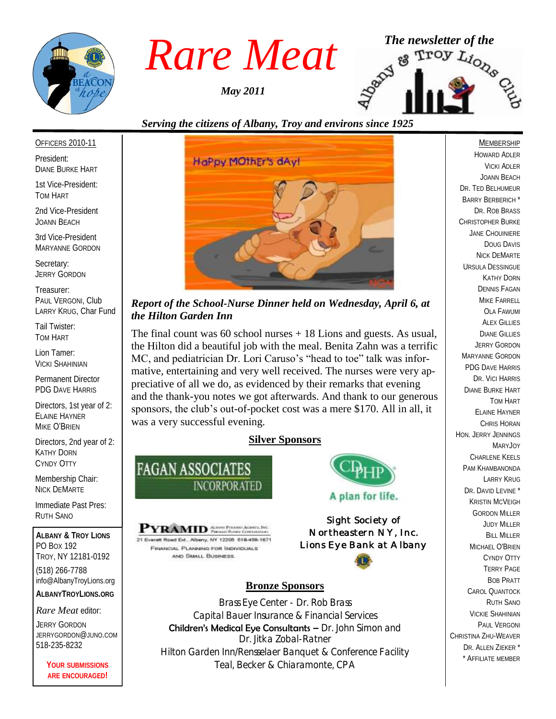

*May 2011*



#### *Serving the citizens of Albany, Troy and environs since 1925*

#### OFFICERS 2010-11

President: DIANE BURKE HART

1st Vice-President: TOM HART

2nd Vice-President JOANN BEACH

3rd Vice-President MARYANNE GORDON

Secretary: JERRY GORDON

Treasurer: PAUL VERGONI, Club LARRY KRUG, Char Fund

Tail Twister: TOM HART

Lion Tamer: VICKI SHAHINIAN

Permanent Director PDG DAVE HARRIS

Directors, 1st year of 2: ELAINE HAYNER MIKE O'BRIEN

Directors, 2nd year of 2: KATHY DORN CYNDY OTTY

Membership Chair: NICK DEMARTE

Immediate Past Pres: RUTH SANO

**ALBANY & TROY LIONS** PO BOX 192 TROY, NY 12181-0192 (518) 266-7788 info@AlbanyTroyLions.org **ALBANYTROYLIONS.ORG**

#### *Rare Meat* editor:

JERRY GORDON JERRYGORDON@JUNO.COM 518-235-8232

> **YOUR SUBMISSIONS ARE ENCOURAGED!**



#### *Report of the School-Nurse Dinner held on Wednesday, April 6, at the Hilton Garden Inn*

The final count was  $60$  school nurses  $+18$  Lions and guests. As usual, the Hilton did a beautiful job with the meal. Benita Zahn was a terrific MC, and pediatrician Dr. Lori Caruso's "head to toe" talk was informative, entertaining and very well received. The nurses were very appreciative of all we do, as evidenced by their remarks that evening and the thank-you notes we got afterwards. And thank to our generous sponsors, the club's out-of-pocket cost was a mere \$170. All in all, it was a very successful evening.

#### **Silver Sponsors**



**PYRAMID** Account Property Accounts Beck 21 Everett Road Ext., Alberry, NY 12205 518-459-1671 FINANCIAL PLANNING FOR INDIVIDUALS AND SMALL BUSINESS

# A plan for life.

*Sight Society of Northeastern NY, Inc. Lions Eye Bank at Albany*



#### **Bronze Sponsors**

Brass Eye Center - Dr. Rob Brass Capital Bauer Insurance & Financial Services Children's Medical Eye Consultants - Dr. John Simon and Dr. Jitka Zobal-Ratner Hilton Garden Inn/Rensselaer Banquet & Conference Facility Teal, Becker & Chiaramonte, CPA

**MEMBERSHIP** HOWARD ADLER VICKI ADLER JOANN BEACH DR. TED BELHUMEUR BARRY BERBERICH \* DR. ROB BRASS CHRISTOPHER BURKE JANE CHOUINIERE DOUG DAVIS NICK DEMARTE URSULA DESSINGUE KATHY DORN DENNIS FAGAN MIKE FARRELL OLA FAWUMI **ALEX GILLIES** DIANE GILLIES JERRY GORDON MARYANNE GORDON PDG DAVE HARRIS DR. VICI HARRIS DIANE BURKE HART TOM HART ELAINE HAYNER CHRIS HORAN HON. JERRY JENNINGS MARYJOY CHARLENE KEELS PAM KHAMBANONDA LARRY KRUG DR. DAVID LEVINE<sup>\*</sup> KRISTIN MCVEIGH GORDON MILLER JUDY MILLER BILL MILLER MICHAEL O'BRIEN CYNDY OTTY TERRY PAGE BOB PRATT CAROL QUANTOCK RUTH SANO VICKIE SHAHINIAN PAUL VERGONI CHRISTINA ZHU-WEAVER DR. ALLEN ZIEKER \* \* AFFILIATE MEMBER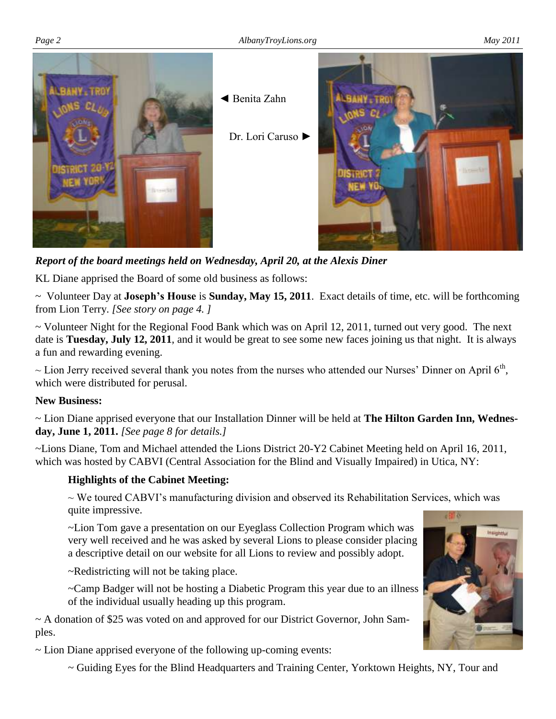

*Report of the board meetings held on Wednesday, April 20, at the Alexis Diner* 

KL Diane apprised the Board of some old business as follows:

~ Volunteer Day at **Joseph's House** is **Sunday, May 15, 2011**. Exact details of time, etc. will be forthcoming from Lion Terry. *[See story on page 4. ]*

~ Volunteer Night for the Regional Food Bank which was on April 12, 2011, turned out very good. The next date is **Tuesday, July 12, 2011**, and it would be great to see some new faces joining us that night. It is always a fun and rewarding evening.

 $\sim$  Lion Jerry received several thank you notes from the nurses who attended our Nurses' Dinner on April 6<sup>th</sup>, which were distributed for perusal.

#### **New Business:**

~ Lion Diane apprised everyone that our Installation Dinner will be held at **The Hilton Garden Inn, Wednesday, June 1, 2011.** *[See page 8 for details.]*

~Lions Diane, Tom and Michael attended the Lions District 20-Y2 Cabinet Meeting held on April 16, 2011, which was hosted by CABVI (Central Association for the Blind and Visually Impaired) in Utica, NY:

#### **Highlights of the Cabinet Meeting:**

 $\sim$  We toured CABVI's manufacturing division and observed its Rehabilitation Services, which was quite impressive.

~Lion Tom gave a presentation on our Eyeglass Collection Program which was very well received and he was asked by several Lions to please consider placing a descriptive detail on our website for all Lions to review and possibly adopt.

~Redistricting will not be taking place.

~Camp Badger will not be hosting a Diabetic Program this year due to an illness of the individual usually heading up this program.

 $\sim$  A donation of \$25 was voted on and approved for our District Governor, John Samples.

~ Lion Diane apprised everyone of the following up-coming events:

~ Guiding Eyes for the Blind Headquarters and Training Center, Yorktown Heights, NY, Tour and

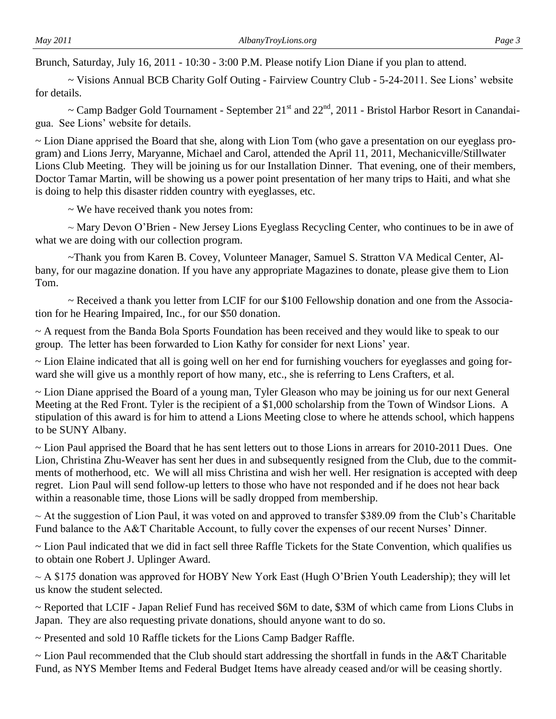Brunch, Saturday, July 16, 2011 - 10:30 - 3:00 P.M. Please notify Lion Diane if you plan to attend.

~ Visions Annual BCB Charity Golf Outing - Fairview Country Club - 5-24-2011. See Lions' website for details.

 $\sim$  Camp Badger Gold Tournament - September 21<sup>st</sup> and 22<sup>nd</sup>, 2011 - Bristol Harbor Resort in Canandaigua. See Lions' website for details.

~ Lion Diane apprised the Board that she, along with Lion Tom (who gave a presentation on our eyeglass program) and Lions Jerry, Maryanne, Michael and Carol, attended the April 11, 2011, Mechanicville/Stillwater Lions Club Meeting. They will be joining us for our Installation Dinner. That evening, one of their members, Doctor Tamar Martin, will be showing us a power point presentation of her many trips to Haiti, and what she is doing to help this disaster ridden country with eyeglasses, etc.

~ We have received thank you notes from:

 $\sim$  Mary Devon O'Brien - New Jersey Lions Eyeglass Recycling Center, who continues to be in awe of what we are doing with our collection program.

~Thank you from Karen B. Covey, Volunteer Manager, Samuel S. Stratton VA Medical Center, Albany, for our magazine donation. If you have any appropriate Magazines to donate, please give them to Lion Tom.

~ Received a thank you letter from LCIF for our \$100 Fellowship donation and one from the Association for he Hearing Impaired, Inc., for our \$50 donation.

~ A request from the Banda Bola Sports Foundation has been received and they would like to speak to our group. The letter has been forwarded to Lion Kathy for consider for next Lions' year.

~ Lion Elaine indicated that all is going well on her end for furnishing vouchers for eyeglasses and going forward she will give us a monthly report of how many, etc., she is referring to Lens Crafters, et al.

~ Lion Diane apprised the Board of a young man, Tyler Gleason who may be joining us for our next General Meeting at the Red Front. Tyler is the recipient of a \$1,000 scholarship from the Town of Windsor Lions. A stipulation of this award is for him to attend a Lions Meeting close to where he attends school, which happens to be SUNY Albany.

~ Lion Paul apprised the Board that he has sent letters out to those Lions in arrears for 2010-2011 Dues. One Lion, Christina Zhu-Weaver has sent her dues in and subsequently resigned from the Club, due to the commitments of motherhood, etc. We will all miss Christina and wish her well. Her resignation is accepted with deep regret. Lion Paul will send follow-up letters to those who have not responded and if he does not hear back within a reasonable time, those Lions will be sadly dropped from membership.

~ At the suggestion of Lion Paul, it was voted on and approved to transfer \$389.09 from the Club's Charitable Fund balance to the A&T Charitable Account, to fully cover the expenses of our recent Nurses' Dinner.

~ Lion Paul indicated that we did in fact sell three Raffle Tickets for the State Convention, which qualifies us to obtain one Robert J. Uplinger Award.

 $\sim$  A \$175 donation was approved for HOBY New York East (Hugh O'Brien Youth Leadership); they will let us know the student selected.

~ Reported that LCIF - Japan Relief Fund has received \$6M to date, \$3M of which came from Lions Clubs in Japan. They are also requesting private donations, should anyone want to do so.

~ Presented and sold 10 Raffle tickets for the Lions Camp Badger Raffle.

~ Lion Paul recommended that the Club should start addressing the shortfall in funds in the A&T Charitable Fund, as NYS Member Items and Federal Budget Items have already ceased and/or will be ceasing shortly.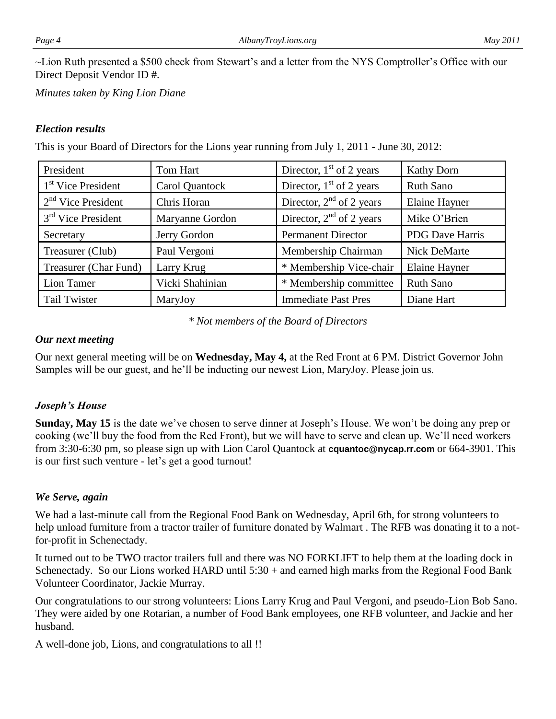~Lion Ruth presented a \$500 check from Stewart's and a letter from the NYS Comptroller's Office with our Direct Deposit Vendor ID #.

*Minutes taken by King Lion Diane*

#### *Election results*

This is your Board of Directors for the Lions year running from July 1, 2011 - June 30, 2012:

| President                      | Tom Hart        | Director, $1st$ of 2 years | <b>Kathy Dorn</b>      |
|--------------------------------|-----------------|----------------------------|------------------------|
| 1 <sup>st</sup> Vice President | Carol Quantock  | Director, $1st$ of 2 years | <b>Ruth Sano</b>       |
| $2nd$ Vice President           | Chris Horan     | Director, $2nd$ of 2 years | <b>Elaine Hayner</b>   |
| $3rd$ Vice President           | Maryanne Gordon | Director, $2nd$ of 2 years | Mike O'Brien           |
| Secretary                      | Jerry Gordon    | <b>Permanent Director</b>  | <b>PDG</b> Dave Harris |
| Treasurer (Club)               | Paul Vergoni    | Membership Chairman        | Nick DeMarte           |
| Treasurer (Char Fund)          | Larry Krug      | * Membership Vice-chair    | <b>Elaine Hayner</b>   |
| Lion Tamer                     | Vicki Shahinian | * Membership committee     | <b>Ruth Sano</b>       |
| <b>Tail Twister</b>            | MaryJoy         | <b>Immediate Past Pres</b> | Diane Hart             |

*\* Not members of the Board of Directors*

#### *Our next meeting*

Our next general meeting will be on **Wednesday, May 4,** at the Red Front at 6 PM. District Governor John Samples will be our guest, and he'll be inducting our newest Lion, MaryJoy. Please join us.

#### *Joseph's House*

**Sunday, May 15** is the date we've chosen to serve dinner at Joseph's House. We won't be doing any prep or cooking (we'll buy the food from the Red Front), but we will have to serve and clean up. We'll need workers from 3:30-6:30 pm, so please sign up with Lion Carol Quantock at **cquantoc@nycap.rr.com** or 664-3901. This is our first such venture - let's get a good turnout!

#### *We Serve, again*

We had a last-minute call from the Regional Food Bank on Wednesday, April 6th, for strong volunteers to help unload furniture from a tractor trailer of furniture donated by Walmart . The RFB was donating it to a notfor-profit in Schenectady.

It turned out to be TWO tractor trailers full and there was NO FORKLIFT to help them at the loading dock in Schenectady. So our Lions worked HARD until 5:30 + and earned high marks from the Regional Food Bank Volunteer Coordinator, Jackie Murray.

Our congratulations to our strong volunteers: Lions Larry Krug and Paul Vergoni, and pseudo-Lion Bob Sano. They were aided by one Rotarian, a number of Food Bank employees, one RFB volunteer, and Jackie and her husband.

A well-done job, Lions, and congratulations to all !!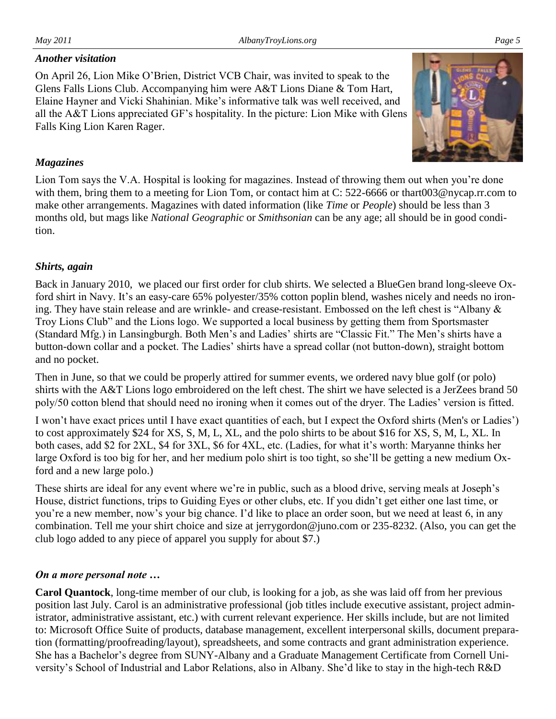#### *Another visitation*

On April 26, Lion Mike O'Brien, District VCB Chair, was invited to speak to the Glens Falls Lions Club. Accompanying him were A&T Lions Diane & Tom Hart, Elaine Hayner and Vicki Shahinian. Mike's informative talk was well received, and all the A&T Lions appreciated GF's hospitality. In the picture: Lion Mike with Glens Falls King Lion Karen Rager.

#### *Magazines*

Lion Tom says the V.A. Hospital is looking for magazines. Instead of throwing them out when you're done with them, bring them to a meeting for Lion Tom, or contact him at C: 522-6666 or thart003@nycap.rr.com to make other arrangements. Magazines with dated information (like *Time* or *People*) should be less than 3 months old, but mags like *National Geographic* or *Smithsonian* can be any age; all should be in good condition.

#### *Shirts, again*

Back in January 2010, we placed our first order for club shirts. We selected a BlueGen brand long-sleeve Oxford shirt in Navy. It's an easy-care 65% polyester/35% cotton poplin blend, washes nicely and needs no ironing. They have stain release and are wrinkle- and crease-resistant. Embossed on the left chest is "Albany & Troy Lions Club" and the Lions logo. We supported a local business by getting them from Sportsmaster (Standard Mfg.) in Lansingburgh. Both Men's and Ladies' shirts are "Classic Fit." The Men's shirts have a button-down collar and a pocket. The Ladies' shirts have a spread collar (not button-down), straight bottom and no pocket.

Then in June, so that we could be properly attired for summer events, we ordered navy blue golf (or polo) shirts with the A&T Lions logo embroidered on the left chest. The shirt we have selected is a JerZees brand 50 poly/50 cotton blend that should need no ironing when it comes out of the dryer. The Ladies' version is fitted.

I won't have exact prices until I have exact quantities of each, but I expect the Oxford shirts (Men's or Ladies') to cost approximately \$24 for XS, S, M, L, XL, and the polo shirts to be about \$16 for XS, S, M, L, XL. In both cases, add \$2 for 2XL, \$4 for 3XL, \$6 for 4XL, etc. (Ladies, for what it's worth: Maryanne thinks her large Oxford is too big for her, and her medium polo shirt is too tight, so she'll be getting a new medium Oxford and a new large polo.)

These shirts are ideal for any event where we're in public, such as a blood drive, serving meals at Joseph's House, district functions, trips to Guiding Eyes or other clubs, etc. If you didn't get either one last time, or you're a new member, now's your big chance. I'd like to place an order soon, but we need at least 6, in any combination. Tell me your shirt choice and size at jerrygordon@juno.com or 235-8232. (Also, you can get the club logo added to any piece of apparel you supply for about \$7.)

#### *On a more personal note …*

**Carol Quantock**, long-time member of our club, is looking for a job, as she was laid off from her previous position last July. Carol is an administrative professional (job titles include executive assistant, project administrator, administrative assistant, etc.) with current relevant experience. Her skills include, but are not limited to: Microsoft Office Suite of products, database management, excellent interpersonal skills, document preparation (formatting/proofreading/layout), spreadsheets, and some contracts and grant administration experience. She has a Bachelor's degree from SUNY-Albany and a Graduate Management Certificate from Cornell University's School of Industrial and Labor Relations, also in Albany. She'd like to stay in the high-tech R&D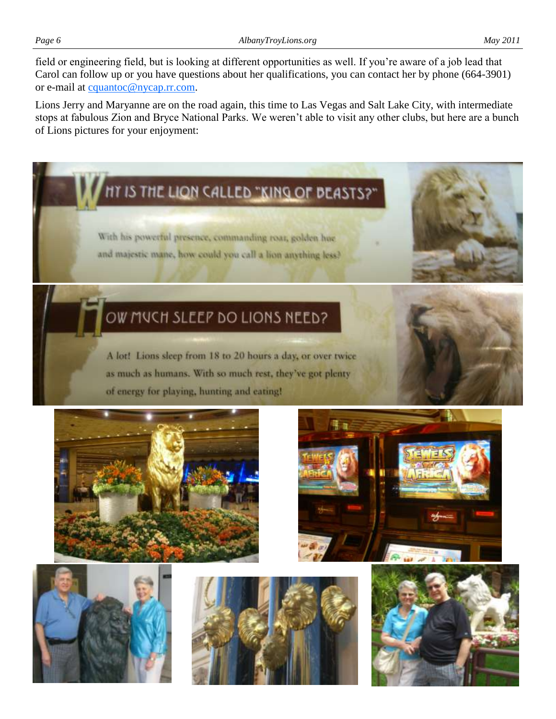field or engineering field, but is looking at different opportunities as well. If you're aware of a job lead that Carol can follow up or you have questions about her qualifications, you can contact her by phone (664-3901) or e-mail at [cquantoc@nycap.rr.com.](mailto:cquantoc@nycap.rr.com)

Lions Jerry and Maryanne are on the road again, this time to Las Vegas and Salt Lake City, with intermediate stops at fabulous Zion and Bryce National Parks. We weren't able to visit any other clubs, but here are a bunch of Lions pictures for your enjoyment:

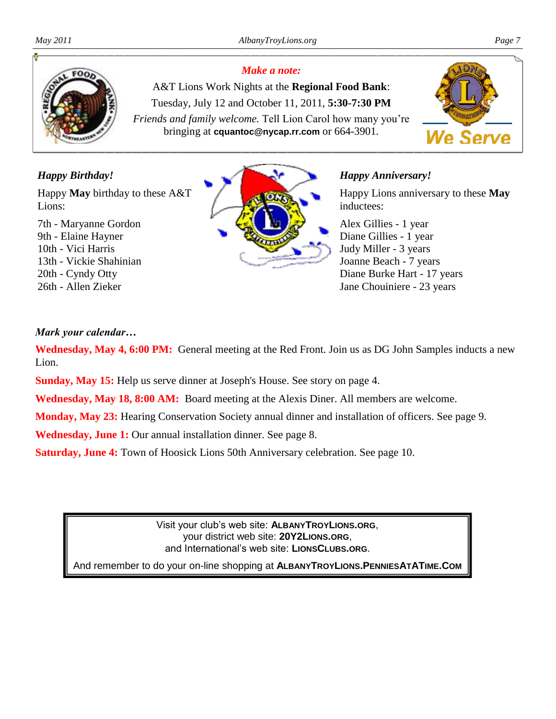

#### *Make a note:*

A&T Lions Work Nights at the **Regional Food Bank**: Tuesday, July 12 and October 11, 2011, **5:30-7:30 PM** *Friends and family welcome.* Tell Lion Carol how many you're bringing at **cquantoc@nycap.rr.com** or 664-3901.



#### *Happy Birthday!*

Happy **May** birthday to these A&T Lions:

7th - Maryanne Gordon 9th - Elaine Hayner 10th - Vici Harris 13th - Vickie Shahinian 20th - Cyndy Otty 26th - Allen Zieker



#### *Happy Anniversary!*

Happy Lions anniversary to these **May**  inductees:

Alex Gillies - 1 year Diane Gillies - 1 year Judy Miller - 3 years Joanne Beach - 7 years Diane Burke Hart - 17 years Jane Chouiniere - 23 years

#### *Mark your calendar…*

**Wednesday, May 4, 6:00 PM:** General meeting at the Red Front. Join us as DG John Samples inducts a new Lion.

**Sunday, May 15:** Help us serve dinner at Joseph's House. See story on page 4.

**Wednesday, May 18, 8:00 AM:** Board meeting at the Alexis Diner. All members are welcome.

**Monday, May 23:** Hearing Conservation Society annual dinner and installation of officers. See page 9.

**Wednesday, June 1:** Our annual installation dinner. See page 8.

**Saturday, June 4:** Town of Hoosick Lions 50th Anniversary celebration. See page 10.

Visit your club's web site: **ALBANYTROYLIONS.ORG**, your district web site: **20Y2LIONS.ORG**, and International's web site: **LIONSCLUBS.ORG**.

And remember to do your on-line shopping at **ALBANYTROYLIONS.PENNIESATATIME.COM**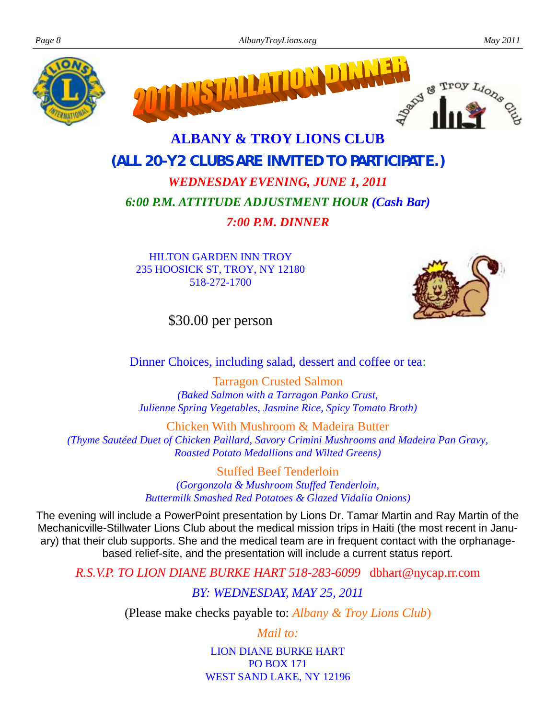



# **ALBANY & TROY LIONS CLUB (***ALL 20-Y2 CLUBS ARE INVITED TO PARTICIPATE***.)** *WEDNESDAY EVENING, JUNE 1, 2011*

## *6:00 P.M. ATTITUDE ADJUSTMENT HOUR (Cash Bar)*

*7:00 P.M. DINNER*

HILTON GARDEN INN TROY 235 HOOSICK ST, TROY, NY 12180 518-272-1700



\$30.00 per person

Dinner Choices, including salad, dessert and coffee or tea:

Tarragon Crusted Salmon *(Baked Salmon with a Tarragon Panko Crust, Julienne Spring Vegetables, Jasmine Rice, Spicy Tomato Broth)*

Chicken With Mushroom & Madeira Butter *(Thyme Sautéed Duet of Chicken Paillard, Savory Crimini Mushrooms and Madeira Pan Gravy, Roasted Potato Medallions and Wilted Greens)*

> Stuffed Beef Tenderloin *(Gorgonzola & Mushroom Stuffed Tenderloin, Buttermilk Smashed Red Potatoes & Glazed Vidalia Onions)*

The evening will include a PowerPoint presentation by Lions Dr. Tamar Martin and Ray Martin of the Mechanicville-Stillwater Lions Club about the medical mission trips in Haiti (the most recent in January) that their club supports. She and the medical team are in frequent contact with the orphanagebased relief-site, and the presentation will include a current status report.

*R.S.V.P. TO LION DIANE BURKE HART 518-283-6099* dbhart@nycap.rr.com

*BY: WEDNESDAY, MAY 25, 2011*

(Please make checks payable to: *Albany & Troy Lions Club*)

*Mail to:*

LION DIANE BURKE HART PO BOX 171 WEST SAND LAKE, NY 12196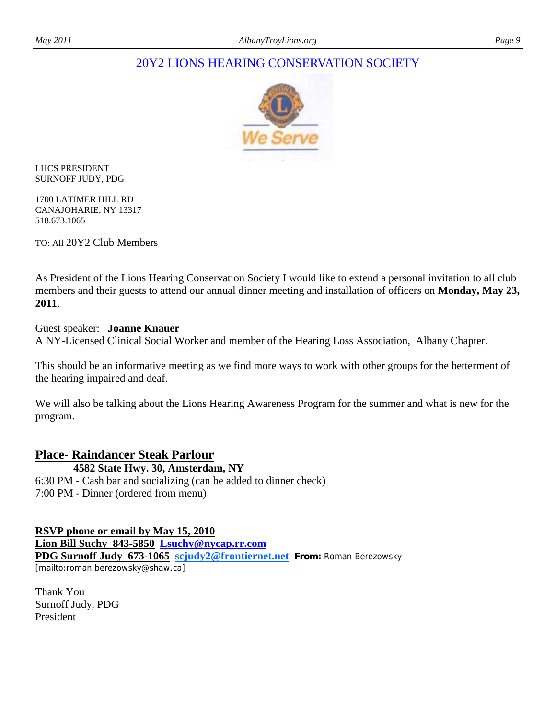#### 20Y2 LIONS HEARING CONSERVATION SOCIETY



LHCS PRESIDENT SURNOFF JUDY, PDG

1700 LATIMER HILL RD CANAJOHARIE, NY 13317 518.673.1065

TO: All 20Y2 Club Members

As President of the Lions Hearing Conservation Society I would like to extend a personal invitation to all club members and their guests to attend our annual dinner meeting and installation of officers on **Monday, May 23, 2011**.

#### Guest speaker: **Joanne Knauer**

A NY-Licensed Clinical Social Worker and member of the Hearing Loss Association, Albany Chapter.

This should be an informative meeting as we find more ways to work with other groups for the betterment of the hearing impaired and deaf.

We will also be talking about the Lions Hearing Awareness Program for the summer and what is new for the program.

#### **Place- Raindancer Steak Parlour**

 **4582 State Hwy. 30, Amsterdam, NY**  6:30 PM - Cash bar and socializing (can be added to dinner check) 7:00 PM - Dinner (ordered from menu)

**RSVP phone or email by May 15, 2010 Lion Bill Suchy 843-5850 [Lsuchy@nycap.rr.com](mailto:Lsuchy@nycap.rr.com) PDG Surnoff Judy 673-1065 [scjudy2@frontiernet.net](mailto:scjudy2@frontiernet.net) From:** Roman Berezowsky

[mailto:roman.berezowsky@shaw.ca]

Thank You Surnoff Judy, PDG President